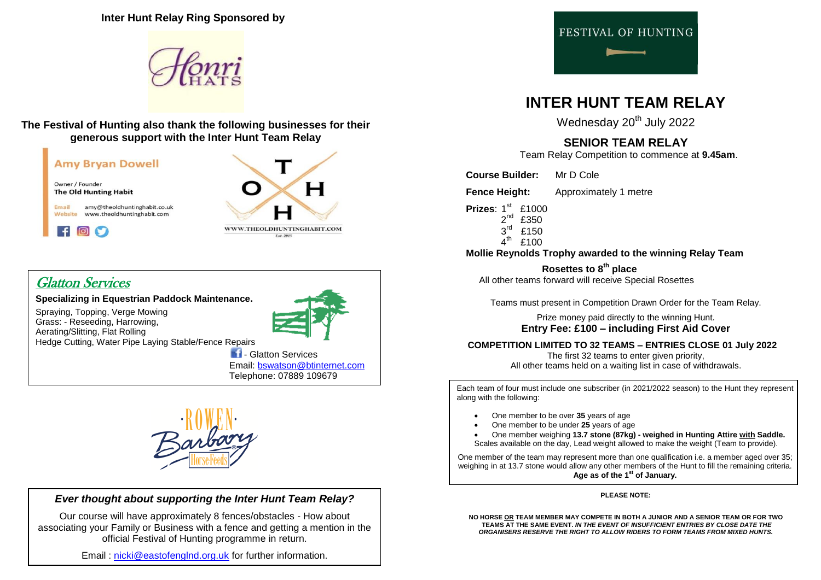**Inter Hunt Relay Ring Sponsored by**



### **The Festival of Hunting also thank the following businesses for their generous support with the Inter Hunt Team Relay**



# Glatton Services

**Specializing in Equestrian Paddock Maintenance.** 

Spraying, Topping, Verge Mowing Grass: - Reseeding, Harrowing, Aerating/Slitting, Flat Rolling Hedge Cutting, Water Pipe Laying Stable/Fence Repairs





### *Ever thought about supporting the Inter Hunt Team Relay?*

Our course will have approximately 8 fences/obstacles - How about associating your Family or Business with a fence and getting a mention in the official Festival of Hunting programme in return.

Email : [nicki@eastofenglnd.org.uk](mailto:nicki@eastofenglnd.org.uk) for further information.



# **INTER HUNT TEAM RELAY**

Wednesday 20<sup>th</sup> July 2022

## **SENIOR TEAM RELAY**

Team Relay Competition to commence at **9.45am**.

**Course Builder:** Mr D Cole

**Fence Height:** Approximately 1 metre

- **Prizes**: 1<sup>st</sup> £1000
- $2<sup>nd</sup>$  £350  $3<sup>rd</sup>$ £150
	- $4^{\text{th}}$ £100

### **Mollie Reynolds Trophy awarded to the winning Relay Team**

 **Rosettes to 8th place** All other teams forward will receive Special Rosettes

Teams must present in Competition Drawn Order for the Team Relay.

Prize money paid directly to the winning Hunt. **Entry Fee: £100 – including First Aid Cover**

### **COMPETITION LIMITED TO 32 TEAMS – ENTRIES CLOSE 01 July 2022**

The first 32 teams to enter given priority. All other teams held on a waiting list in case of withdrawals.

Each team of four must include one subscriber (in 2021/2022 season) to the Hunt they represent along with the following:

- One member to be over **35** years of age
- One member to be under **25** years of age
- One member weighing **13.7 stone (87kg) - weighed in Hunting Attire with Saddle.**
- Scales available on the day, Lead weight allowed to make the weight (Team to provide).

One member of the team may represent more than one qualification i.e. a member aged over 35; weighing in at 13.7 stone would allow any other members of the Hunt to fill the remaining criteria. **Age as of the 1st of January.**

#### **PLEASE NOTE:**

**NO HORSE OR TEAM MEMBER MAY COMPETE IN BOTH A JUNIOR AND A SENIOR TEAM OR FOR TWO TEAMS AT THE SAME EVENT.** *IN THE EVENT OF INSUFFICIENT ENTRIES BY CLOSE DATE THE ORGANISERS RESERVE THE RIGHT TO ALLOW RIDERS TO FORM TEAMS FROM MIXED HUNTS.*